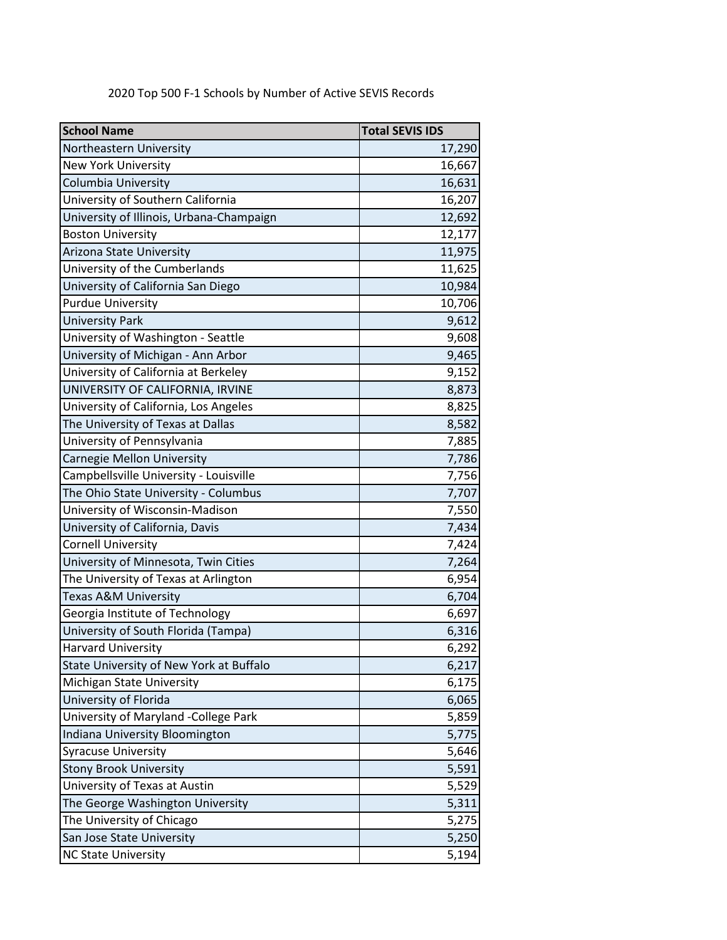| <b>School Name</b>                       | <b>Total SEVIS IDS</b> |
|------------------------------------------|------------------------|
| Northeastern University                  | 17,290                 |
| <b>New York University</b>               | 16,667                 |
| Columbia University                      | 16,631                 |
| University of Southern California        | 16,207                 |
| University of Illinois, Urbana-Champaign | 12,692                 |
| <b>Boston University</b>                 | 12,177                 |
| Arizona State University                 | 11,975                 |
| University of the Cumberlands            | 11,625                 |
| University of California San Diego       | 10,984                 |
| <b>Purdue University</b>                 | 10,706                 |
| <b>University Park</b>                   | 9,612                  |
| University of Washington - Seattle       | 9,608                  |
| University of Michigan - Ann Arbor       | 9,465                  |
| University of California at Berkeley     | 9,152                  |
| UNIVERSITY OF CALIFORNIA, IRVINE         | 8,873                  |
| University of California, Los Angeles    | 8,825                  |
| The University of Texas at Dallas        | 8,582                  |
| University of Pennsylvania               | 7,885                  |
| Carnegie Mellon University               | 7,786                  |
| Campbellsville University - Louisville   | 7,756                  |
| The Ohio State University - Columbus     | 7,707                  |
| University of Wisconsin-Madison          | 7,550                  |
| University of California, Davis          | 7,434                  |
| <b>Cornell University</b>                | 7,424                  |
| University of Minnesota, Twin Cities     | 7,264                  |
| The University of Texas at Arlington     | 6,954                  |
| Texas A&M University                     | 6,704                  |
| Georgia Institute of Technology          | 6,697                  |
| University of South Florida (Tampa)      | 6,316                  |
| <b>Harvard University</b>                | 6,292                  |
| State University of New York at Buffalo  | 6,217                  |
| Michigan State University                | 6,175                  |
| University of Florida                    | 6,065                  |
| University of Maryland -College Park     | 5,859                  |
| Indiana University Bloomington           | 5,775                  |
| <b>Syracuse University</b>               | 5,646                  |
| <b>Stony Brook University</b>            | 5,591                  |
| University of Texas at Austin            | 5,529                  |
| The George Washington University         | 5,311                  |
| The University of Chicago                | 5,275                  |
| San Jose State University                | 5,250                  |
| <b>NC State University</b>               | 5,194                  |

2020 Top 500 F-1 Schools by Number of Active SEVIS Records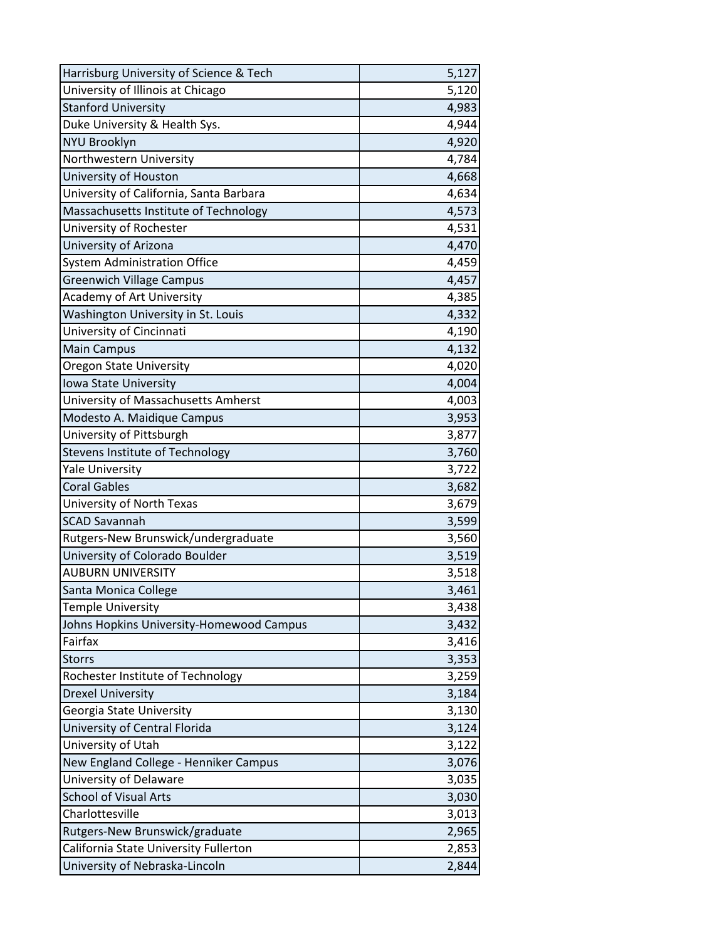| Harrisburg University of Science & Tech  | 5,127 |
|------------------------------------------|-------|
| University of Illinois at Chicago        | 5,120 |
| <b>Stanford University</b>               | 4,983 |
| Duke University & Health Sys.            | 4,944 |
| <b>NYU Brooklyn</b>                      | 4,920 |
| Northwestern University                  | 4,784 |
| University of Houston                    | 4,668 |
| University of California, Santa Barbara  | 4,634 |
| Massachusetts Institute of Technology    | 4,573 |
| University of Rochester                  | 4,531 |
| University of Arizona                    | 4,470 |
| <b>System Administration Office</b>      | 4,459 |
| <b>Greenwich Village Campus</b>          | 4,457 |
| Academy of Art University                | 4,385 |
| Washington University in St. Louis       | 4,332 |
| University of Cincinnati                 | 4,190 |
| <b>Main Campus</b>                       | 4,132 |
| <b>Oregon State University</b>           | 4,020 |
| Iowa State University                    | 4,004 |
| University of Massachusetts Amherst      | 4,003 |
| Modesto A. Maidique Campus               | 3,953 |
| University of Pittsburgh                 | 3,877 |
| Stevens Institute of Technology          | 3,760 |
| <b>Yale University</b>                   | 3,722 |
| <b>Coral Gables</b>                      | 3,682 |
| University of North Texas                | 3,679 |
| <b>SCAD Savannah</b>                     | 3,599 |
| Rutgers-New Brunswick/undergraduate      | 3,560 |
| University of Colorado Boulder           | 3,519 |
| <b>AUBURN UNIVERSITY</b>                 | 3,518 |
| Santa Monica College                     | 3,461 |
| <b>Temple University</b>                 | 3,438 |
| Johns Hopkins University-Homewood Campus | 3,432 |
| Fairfax                                  | 3,416 |
| <b>Storrs</b>                            | 3,353 |
| Rochester Institute of Technology        | 3,259 |
| <b>Drexel University</b>                 | 3,184 |
| Georgia State University                 | 3,130 |
| University of Central Florida            | 3,124 |
| University of Utah                       | 3,122 |
| New England College - Henniker Campus    | 3,076 |
| University of Delaware                   | 3,035 |
| <b>School of Visual Arts</b>             | 3,030 |
| Charlottesville                          | 3,013 |
| Rutgers-New Brunswick/graduate           | 2,965 |
| California State University Fullerton    | 2,853 |
| University of Nebraska-Lincoln           | 2,844 |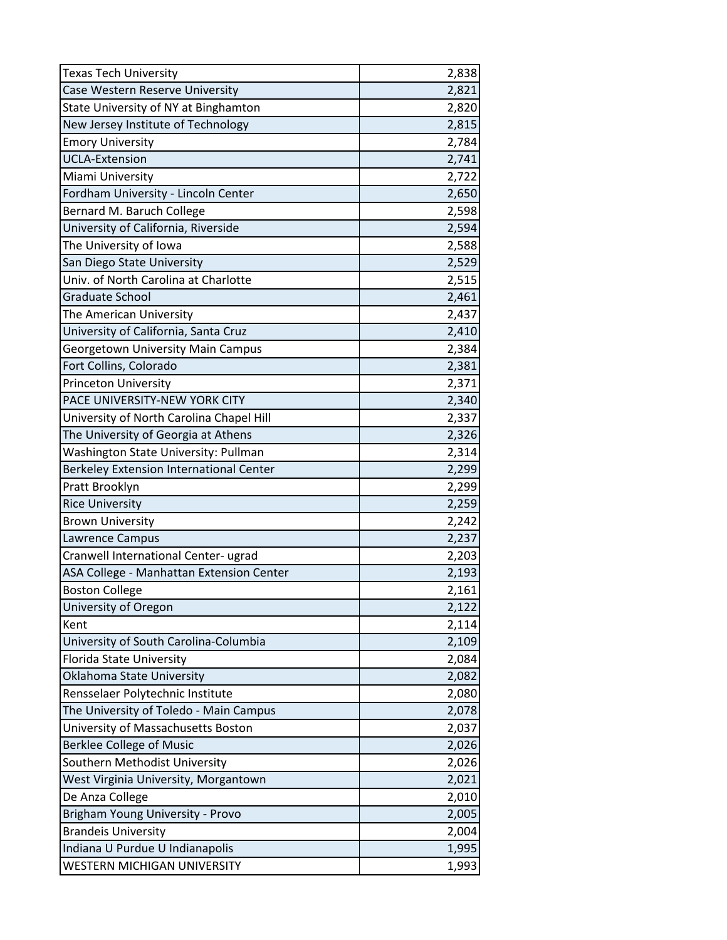| <b>Texas Tech University</b>             | 2,838 |
|------------------------------------------|-------|
| Case Western Reserve University          | 2,821 |
| State University of NY at Binghamton     | 2,820 |
| New Jersey Institute of Technology       | 2,815 |
| <b>Emory University</b>                  | 2,784 |
| <b>UCLA-Extension</b>                    | 2,741 |
| Miami University                         | 2,722 |
| Fordham University - Lincoln Center      | 2,650 |
| Bernard M. Baruch College                | 2,598 |
| University of California, Riverside      | 2,594 |
| The University of Iowa                   | 2,588 |
| San Diego State University               | 2,529 |
| Univ. of North Carolina at Charlotte     | 2,515 |
| Graduate School                          | 2,461 |
| The American University                  | 2,437 |
| University of California, Santa Cruz     | 2,410 |
| <b>Georgetown University Main Campus</b> | 2,384 |
| Fort Collins, Colorado                   | 2,381 |
| <b>Princeton University</b>              | 2,371 |
| PACE UNIVERSITY-NEW YORK CITY            | 2,340 |
| University of North Carolina Chapel Hill | 2,337 |
| The University of Georgia at Athens      | 2,326 |
| Washington State University: Pullman     | 2,314 |
| Berkeley Extension International Center  | 2,299 |
| Pratt Brooklyn                           | 2,299 |
| <b>Rice University</b>                   | 2,259 |
| <b>Brown University</b>                  | 2,242 |
| Lawrence Campus                          | 2,237 |
| Cranwell International Center- ugrad     | 2,203 |
| ASA College - Manhattan Extension Center | 2,193 |
| <b>Boston College</b>                    | 2,161 |
| University of Oregon                     | 2,122 |
| Kent                                     | 2,114 |
| University of South Carolina-Columbia    | 2,109 |
| Florida State University                 | 2,084 |
| Oklahoma State University                | 2,082 |
| Rensselaer Polytechnic Institute         | 2,080 |
| The University of Toledo - Main Campus   | 2,078 |
| University of Massachusetts Boston       | 2,037 |
| <b>Berklee College of Music</b>          | 2,026 |
| Southern Methodist University            | 2,026 |
| West Virginia University, Morgantown     | 2,021 |
| De Anza College                          | 2,010 |
| Brigham Young University - Provo         | 2,005 |
| <b>Brandeis University</b>               | 2,004 |
| Indiana U Purdue U Indianapolis          | 1,995 |
| WESTERN MICHIGAN UNIVERSITY              | 1,993 |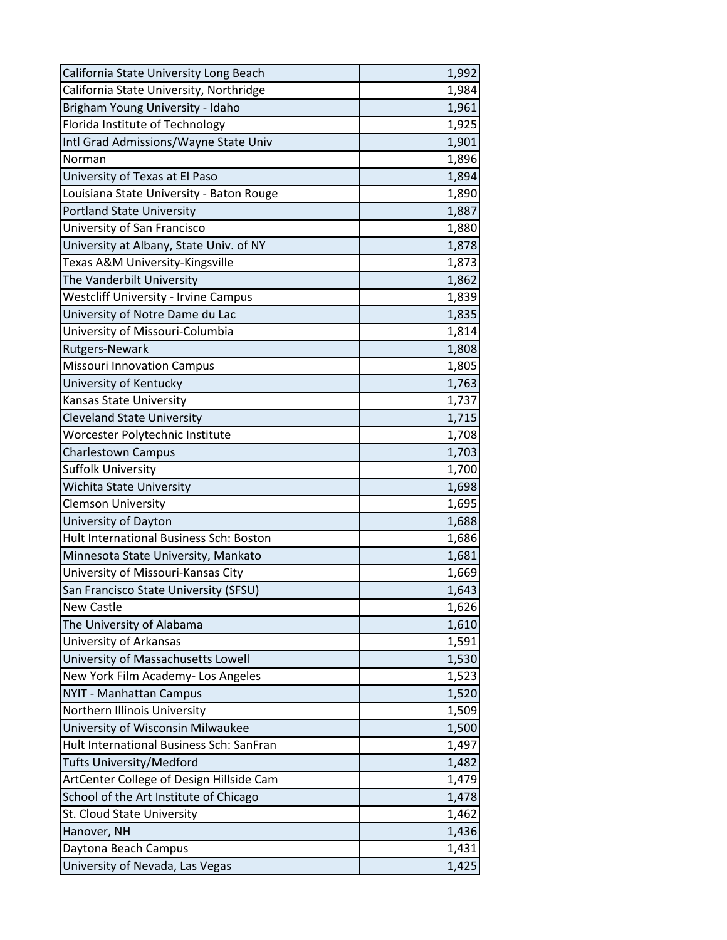| California State University Long Beach      | 1,992 |
|---------------------------------------------|-------|
| California State University, Northridge     | 1,984 |
| Brigham Young University - Idaho            | 1,961 |
| Florida Institute of Technology             | 1,925 |
| Intl Grad Admissions/Wayne State Univ       | 1,901 |
| Norman                                      | 1,896 |
| University of Texas at El Paso              | 1,894 |
| Louisiana State University - Baton Rouge    | 1,890 |
| <b>Portland State University</b>            | 1,887 |
| University of San Francisco                 | 1,880 |
| University at Albany, State Univ. of NY     | 1,878 |
| Texas A&M University-Kingsville             | 1,873 |
| The Vanderbilt University                   | 1,862 |
| <b>Westcliff University - Irvine Campus</b> | 1,839 |
| University of Notre Dame du Lac             | 1,835 |
| University of Missouri-Columbia             | 1,814 |
| Rutgers-Newark                              | 1,808 |
| <b>Missouri Innovation Campus</b>           | 1,805 |
| University of Kentucky                      | 1,763 |
| Kansas State University                     | 1,737 |
| <b>Cleveland State University</b>           | 1,715 |
| Worcester Polytechnic Institute             | 1,708 |
| <b>Charlestown Campus</b>                   | 1,703 |
| <b>Suffolk University</b>                   | 1,700 |
| <b>Wichita State University</b>             | 1,698 |
| <b>Clemson University</b>                   | 1,695 |
| University of Dayton                        | 1,688 |
| Hult International Business Sch: Boston     | 1,686 |
| Minnesota State University, Mankato         | 1,681 |
| University of Missouri-Kansas City          | 1,669 |
| San Francisco State University (SFSU)       | 1,643 |
| <b>New Castle</b>                           | 1,626 |
| The University of Alabama                   | 1,610 |
| University of Arkansas                      | 1,591 |
| University of Massachusetts Lowell          | 1,530 |
| New York Film Academy- Los Angeles          | 1,523 |
| NYIT - Manhattan Campus                     | 1,520 |
| Northern Illinois University                | 1,509 |
| University of Wisconsin Milwaukee           | 1,500 |
| Hult International Business Sch: SanFran    | 1,497 |
| Tufts University/Medford                    | 1,482 |
| ArtCenter College of Design Hillside Cam    | 1,479 |
| School of the Art Institute of Chicago      | 1,478 |
| St. Cloud State University                  | 1,462 |
| Hanover, NH                                 | 1,436 |
| Daytona Beach Campus                        | 1,431 |
| University of Nevada, Las Vegas             | 1,425 |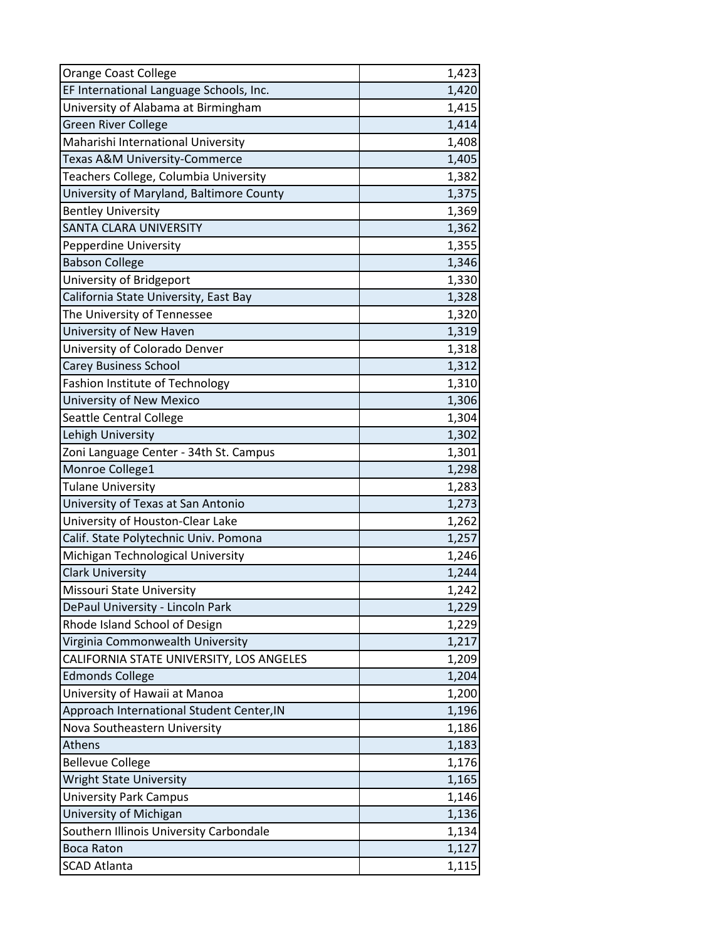| Orange Coast College                      | 1,423 |
|-------------------------------------------|-------|
| EF International Language Schools, Inc.   | 1,420 |
| University of Alabama at Birmingham       | 1,415 |
| <b>Green River College</b>                | 1,414 |
| Maharishi International University        | 1,408 |
| Texas A&M University-Commerce             | 1,405 |
| Teachers College, Columbia University     | 1,382 |
| University of Maryland, Baltimore County  | 1,375 |
| <b>Bentley University</b>                 | 1,369 |
| <b>SANTA CLARA UNIVERSITY</b>             | 1,362 |
| Pepperdine University                     | 1,355 |
| <b>Babson College</b>                     | 1,346 |
| University of Bridgeport                  | 1,330 |
| California State University, East Bay     | 1,328 |
| The University of Tennessee               | 1,320 |
| University of New Haven                   | 1,319 |
| University of Colorado Denver             | 1,318 |
| <b>Carey Business School</b>              | 1,312 |
| Fashion Institute of Technology           | 1,310 |
| University of New Mexico                  | 1,306 |
| Seattle Central College                   | 1,304 |
| Lehigh University                         | 1,302 |
| Zoni Language Center - 34th St. Campus    | 1,301 |
| Monroe College1                           | 1,298 |
| <b>Tulane University</b>                  | 1,283 |
| University of Texas at San Antonio        | 1,273 |
| University of Houston-Clear Lake          | 1,262 |
| Calif. State Polytechnic Univ. Pomona     | 1,257 |
| Michigan Technological University         | 1,246 |
| <b>Clark University</b>                   | 1,244 |
| Missouri State University                 | 1,242 |
| DePaul University - Lincoln Park          | 1,229 |
| Rhode Island School of Design             | 1,229 |
| Virginia Commonwealth University          | 1,217 |
| CALIFORNIA STATE UNIVERSITY, LOS ANGELES  | 1,209 |
| <b>Edmonds College</b>                    | 1,204 |
| University of Hawaii at Manoa             | 1,200 |
| Approach International Student Center, IN | 1,196 |
| Nova Southeastern University              | 1,186 |
| Athens                                    | 1,183 |
| <b>Bellevue College</b>                   | 1,176 |
| <b>Wright State University</b>            | 1,165 |
| <b>University Park Campus</b>             | 1,146 |
| University of Michigan                    | 1,136 |
| Southern Illinois University Carbondale   | 1,134 |
| <b>Boca Raton</b>                         | 1,127 |
| <b>SCAD Atlanta</b>                       | 1,115 |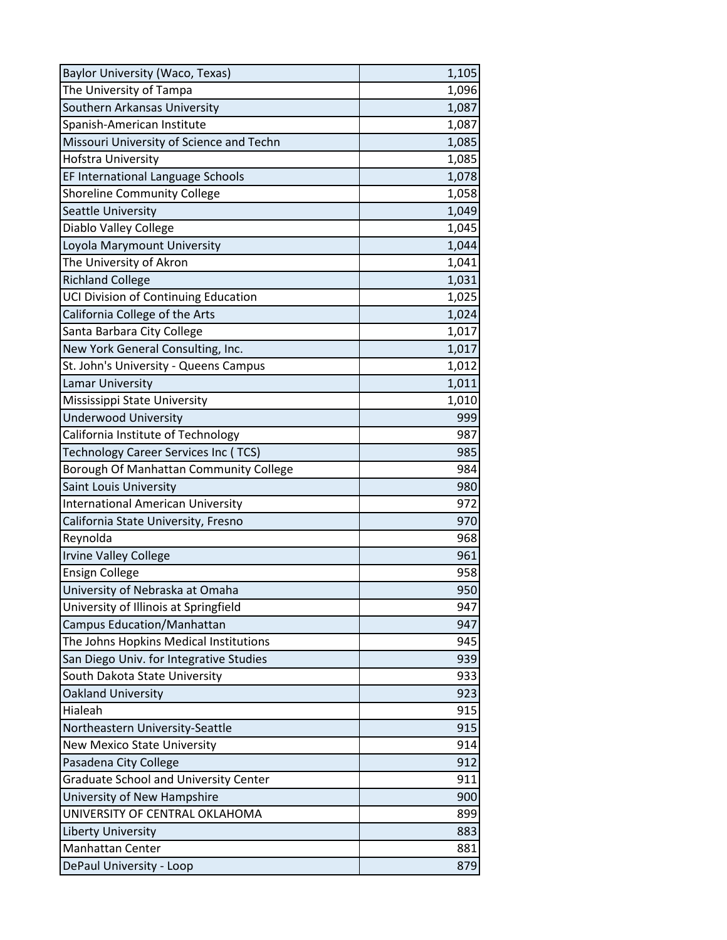| Baylor University (Waco, Texas)              | 1,105 |
|----------------------------------------------|-------|
| The University of Tampa                      | 1,096 |
| Southern Arkansas University                 | 1,087 |
| Spanish-American Institute                   | 1,087 |
| Missouri University of Science and Techn     | 1,085 |
| Hofstra University                           | 1,085 |
| EF International Language Schools            | 1,078 |
| <b>Shoreline Community College</b>           | 1,058 |
| Seattle University                           | 1,049 |
| Diablo Valley College                        | 1,045 |
| Loyola Marymount University                  | 1,044 |
| The University of Akron                      | 1,041 |
| <b>Richland College</b>                      | 1,031 |
| UCI Division of Continuing Education         | 1,025 |
| California College of the Arts               | 1,024 |
| Santa Barbara City College                   | 1,017 |
| New York General Consulting, Inc.            | 1,017 |
| St. John's University - Queens Campus        | 1,012 |
| <b>Lamar University</b>                      | 1,011 |
| Mississippi State University                 | 1,010 |
| <b>Underwood University</b>                  | 999   |
| California Institute of Technology           | 987   |
| Technology Career Services Inc (TCS)         | 985   |
| Borough Of Manhattan Community College       | 984   |
| Saint Louis University                       | 980   |
| <b>International American University</b>     | 972   |
| California State University, Fresno          | 970   |
| Reynolda                                     | 968   |
| <b>Irvine Valley College</b>                 | 961   |
| <b>Ensign College</b>                        | 958   |
| University of Nebraska at Omaha              | 950   |
| University of Illinois at Springfield        | 947   |
| Campus Education/Manhattan                   | 947   |
| The Johns Hopkins Medical Institutions       | 945   |
| San Diego Univ. for Integrative Studies      | 939   |
| South Dakota State University                | 933   |
| Oakland University                           | 923   |
| Hialeah                                      | 915   |
| Northeastern University-Seattle              | 915   |
| <b>New Mexico State University</b>           | 914   |
| Pasadena City College                        | 912   |
| <b>Graduate School and University Center</b> | 911   |
| University of New Hampshire                  | 900   |
| UNIVERSITY OF CENTRAL OKLAHOMA               | 899   |
| Liberty University                           | 883   |
| <b>Manhattan Center</b>                      | 881   |
| DePaul University - Loop                     | 879   |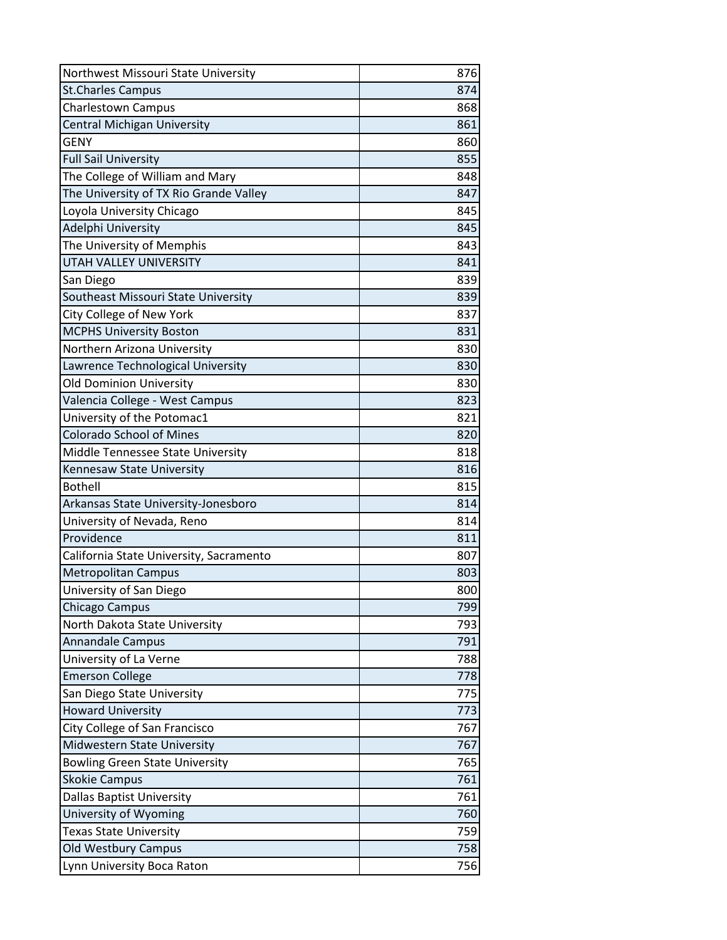| Northwest Missouri State University     | 876 |
|-----------------------------------------|-----|
| <b>St.Charles Campus</b>                | 874 |
| <b>Charlestown Campus</b>               | 868 |
| Central Michigan University             | 861 |
| <b>GENY</b>                             | 860 |
| <b>Full Sail University</b>             | 855 |
| The College of William and Mary         | 848 |
| The University of TX Rio Grande Valley  | 847 |
| Loyola University Chicago               | 845 |
| Adelphi University                      | 845 |
| The University of Memphis               | 843 |
| <b>UTAH VALLEY UNIVERSITY</b>           | 841 |
| San Diego                               | 839 |
| Southeast Missouri State University     | 839 |
| City College of New York                | 837 |
| <b>MCPHS University Boston</b>          | 831 |
| Northern Arizona University             | 830 |
| Lawrence Technological University       | 830 |
| <b>Old Dominion University</b>          | 830 |
| Valencia College - West Campus          | 823 |
| University of the Potomac1              | 821 |
| <b>Colorado School of Mines</b>         | 820 |
| Middle Tennessee State University       | 818 |
| Kennesaw State University               | 816 |
| <b>Bothell</b>                          | 815 |
| Arkansas State University-Jonesboro     | 814 |
| University of Nevada, Reno              | 814 |
| Providence                              | 811 |
| California State University, Sacramento | 807 |
| <b>Metropolitan Campus</b>              | 803 |
| University of San Diego                 | 800 |
| <b>Chicago Campus</b>                   | 799 |
| North Dakota State University           | 793 |
| <b>Annandale Campus</b>                 | 791 |
| University of La Verne                  | 788 |
| <b>Emerson College</b>                  | 778 |
| San Diego State University              | 775 |
| <b>Howard University</b>                | 773 |
| City College of San Francisco           | 767 |
| Midwestern State University             | 767 |
| <b>Bowling Green State University</b>   | 765 |
| <b>Skokie Campus</b>                    | 761 |
| Dallas Baptist University               | 761 |
| University of Wyoming                   | 760 |
| <b>Texas State University</b>           | 759 |
| Old Westbury Campus                     | 758 |
| Lynn University Boca Raton              | 756 |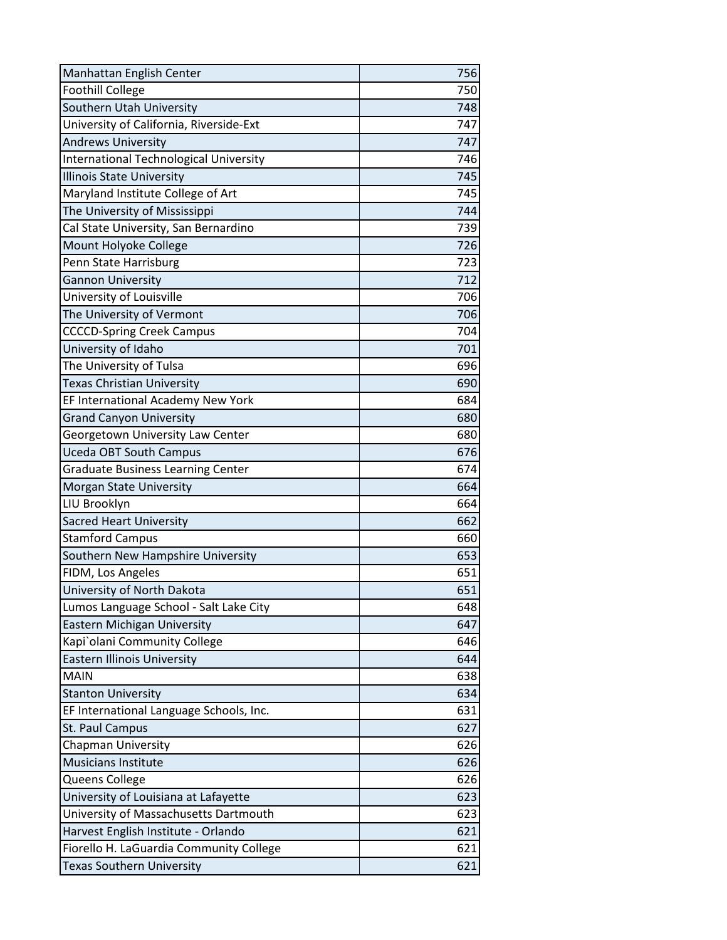| Manhattan English Center                      | 756 |
|-----------------------------------------------|-----|
| <b>Foothill College</b>                       | 750 |
| Southern Utah University                      | 748 |
| University of California, Riverside-Ext       | 747 |
| <b>Andrews University</b>                     | 747 |
| <b>International Technological University</b> | 746 |
| <b>Illinois State University</b>              | 745 |
| Maryland Institute College of Art             | 745 |
| The University of Mississippi                 | 744 |
| Cal State University, San Bernardino          | 739 |
| Mount Holyoke College                         | 726 |
| Penn State Harrisburg                         | 723 |
| <b>Gannon University</b>                      | 712 |
| University of Louisville                      | 706 |
| The University of Vermont                     | 706 |
| <b>CCCCD-Spring Creek Campus</b>              | 704 |
| University of Idaho                           | 701 |
| The University of Tulsa                       | 696 |
| <b>Texas Christian University</b>             | 690 |
| EF International Academy New York             | 684 |
| <b>Grand Canyon University</b>                | 680 |
| Georgetown University Law Center              | 680 |
| <b>Uceda OBT South Campus</b>                 | 676 |
| <b>Graduate Business Learning Center</b>      | 674 |
| Morgan State University                       | 664 |
| LIU Brooklyn                                  | 664 |
| <b>Sacred Heart University</b>                | 662 |
| <b>Stamford Campus</b>                        | 660 |
| Southern New Hampshire University             | 653 |
| FIDM, Los Angeles                             | 651 |
| University of North Dakota                    | 651 |
| Lumos Language School - Salt Lake City        | 648 |
| Eastern Michigan University                   | 647 |
| Kapi`olani Community College                  | 646 |
| <b>Eastern Illinois University</b>            | 644 |
| <b>MAIN</b>                                   | 638 |
| <b>Stanton University</b>                     | 634 |
| EF International Language Schools, Inc.       | 631 |
| St. Paul Campus                               | 627 |
| <b>Chapman University</b>                     | 626 |
| <b>Musicians Institute</b>                    | 626 |
| Queens College                                | 626 |
| University of Louisiana at Lafayette          | 623 |
| University of Massachusetts Dartmouth         | 623 |
| Harvest English Institute - Orlando           | 621 |
| Fiorello H. LaGuardia Community College       | 621 |
| <b>Texas Southern University</b>              | 621 |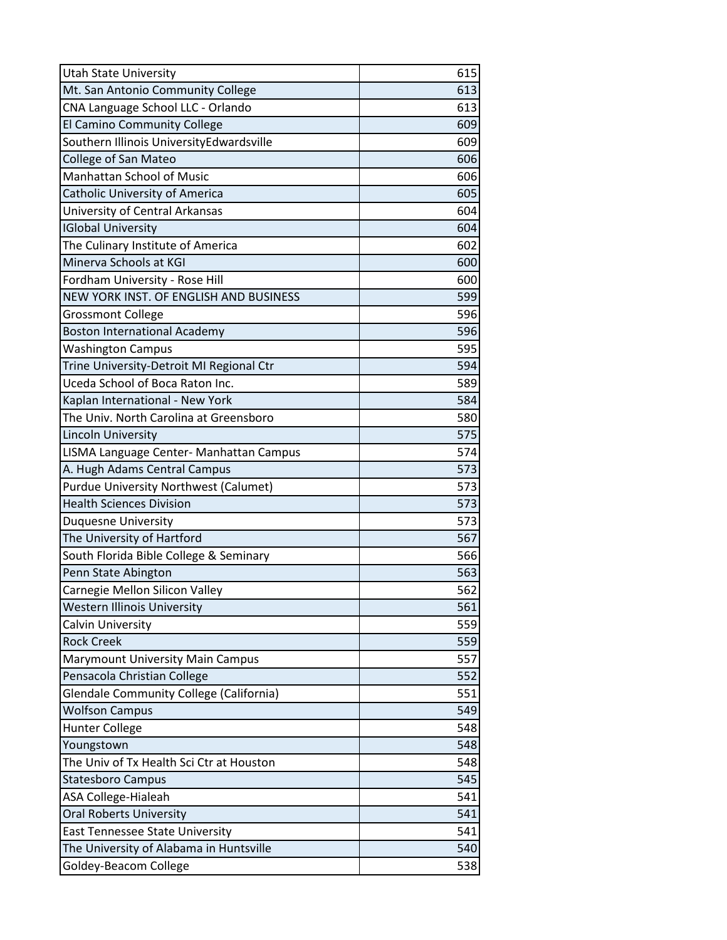| <b>Utah State University</b>                   | 615 |
|------------------------------------------------|-----|
| Mt. San Antonio Community College              | 613 |
| CNA Language School LLC - Orlando              | 613 |
| El Camino Community College                    | 609 |
| Southern Illinois UniversityEdwardsville       | 609 |
| College of San Mateo                           | 606 |
| Manhattan School of Music                      | 606 |
| <b>Catholic University of America</b>          | 605 |
| University of Central Arkansas                 | 604 |
| <b>IGlobal University</b>                      | 604 |
| The Culinary Institute of America              | 602 |
| Minerva Schools at KGI                         | 600 |
| Fordham University - Rose Hill                 | 600 |
| NEW YORK INST. OF ENGLISH AND BUSINESS         | 599 |
| <b>Grossmont College</b>                       | 596 |
| <b>Boston International Academy</b>            | 596 |
| <b>Washington Campus</b>                       | 595 |
| Trine University-Detroit MI Regional Ctr       | 594 |
| Uceda School of Boca Raton Inc.                | 589 |
| Kaplan International - New York                | 584 |
| The Univ. North Carolina at Greensboro         | 580 |
| <b>Lincoln University</b>                      | 575 |
| LISMA Language Center- Manhattan Campus        | 574 |
| A. Hugh Adams Central Campus                   | 573 |
| <b>Purdue University Northwest (Calumet)</b>   | 573 |
| <b>Health Sciences Division</b>                | 573 |
| <b>Duquesne University</b>                     | 573 |
| The University of Hartford                     | 567 |
| South Florida Bible College & Seminary         | 566 |
| Penn State Abington                            | 563 |
| Carnegie Mellon Silicon Valley                 | 562 |
| <b>Western Illinois University</b>             | 561 |
| Calvin University                              | 559 |
| <b>Rock Creek</b>                              | 559 |
| <b>Marymount University Main Campus</b>        | 557 |
| Pensacola Christian College                    | 552 |
| <b>Glendale Community College (California)</b> | 551 |
| <b>Wolfson Campus</b>                          | 549 |
| <b>Hunter College</b>                          | 548 |
| Youngstown                                     | 548 |
| The Univ of Tx Health Sci Ctr at Houston       | 548 |
| <b>Statesboro Campus</b>                       | 545 |
| ASA College-Hialeah                            | 541 |
| <b>Oral Roberts University</b>                 | 541 |
| <b>East Tennessee State University</b>         | 541 |
| The University of Alabama in Huntsville        | 540 |
| Goldey-Beacom College                          | 538 |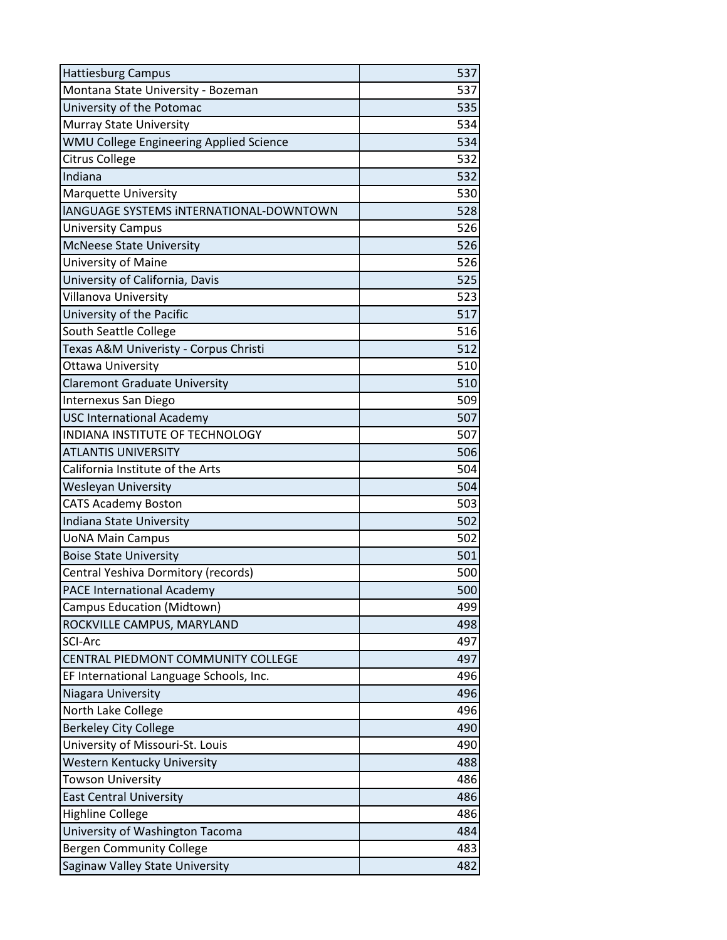| <b>Hattiesburg Campus</b>               | 537 |
|-----------------------------------------|-----|
| Montana State University - Bozeman      | 537 |
| University of the Potomac               | 535 |
| Murray State University                 | 534 |
| WMU College Engineering Applied Science | 534 |
| <b>Citrus College</b>                   | 532 |
| Indiana                                 | 532 |
| <b>Marquette University</b>             | 530 |
| IANGUAGE SYSTEMS INTERNATIONAL-DOWNTOWN | 528 |
| <b>University Campus</b>                | 526 |
| <b>McNeese State University</b>         | 526 |
| University of Maine                     | 526 |
| University of California, Davis         | 525 |
| Villanova University                    | 523 |
| University of the Pacific               | 517 |
| South Seattle College                   | 516 |
| Texas A&M Univeristy - Corpus Christi   | 512 |
| Ottawa University                       | 510 |
| <b>Claremont Graduate University</b>    | 510 |
| Internexus San Diego                    | 509 |
| <b>USC International Academy</b>        | 507 |
| INDIANA INSTITUTE OF TECHNOLOGY         | 507 |
| <b>ATLANTIS UNIVERSITY</b>              | 506 |
| California Institute of the Arts        | 504 |
| <b>Wesleyan University</b>              | 504 |
| <b>CATS Academy Boston</b>              | 503 |
| Indiana State University                | 502 |
| <b>UoNA Main Campus</b>                 | 502 |
| <b>Boise State University</b>           | 501 |
| Central Yeshiva Dormitory (records)     | 500 |
| <b>PACE International Academy</b>       | 500 |
| Campus Education (Midtown)              | 499 |
| ROCKVILLE CAMPUS, MARYLAND              | 498 |
| <b>SCI-Arc</b>                          | 497 |
| CENTRAL PIEDMONT COMMUNITY COLLEGE      | 497 |
| EF International Language Schools, Inc. | 496 |
| Niagara University                      | 496 |
| North Lake College                      | 496 |
| <b>Berkeley City College</b>            | 490 |
| University of Missouri-St. Louis        | 490 |
| Western Kentucky University             | 488 |
| <b>Towson University</b>                | 486 |
| <b>East Central University</b>          | 486 |
| <b>Highline College</b>                 | 486 |
| University of Washington Tacoma         | 484 |
| <b>Bergen Community College</b>         | 483 |
| Saginaw Valley State University         | 482 |